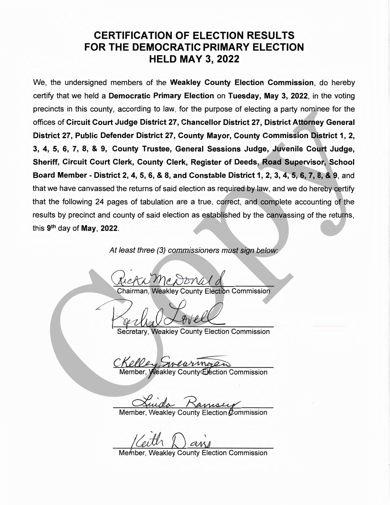#### **CERTIFICATION OF ELECTION RESULTS FOR THE DEMOCRATIC PRIMARY ELECTION HELD MAY 3, 2022**

We, the undersigned members of the **Weakley County Election Commission,** do hereby certify that we held a **Democratic Primary Election** on **Tuesday, May 3, 2022,** in the voting precincts in this county, according to law, for the purpose of electing a party nominee for the offices of **Circuit Court Judge District 27, Chancellor District 27, District Attorney General District 27, Public Defender District 27, County Mayor, County Commission District 1, 2, 3, 4, 5, 6, 7, 8,** & **9, County Trustee, General Sessions Judge, Juvenile Court Judge, Sheriff, Circuit Court Clerk, County Clerk, Register of Deeds, Road Supervisor, School Board Member** - **District 2, 4, 5, 6,** & **8, and Constable District 1, 2, 3, 4, 5, 6, 7, 8,** & **9,** and that we have canvassed the returns of said election as required by law, and we do hereby certify that the following 24 pages of tabulation are a true, correct, and complete accounting of the results by precinct and county of said election as established by the canvassing of the returns, this 9th day of **May, 2022.**  profiles of Circuit Court Judge District 27, Chancellor District 27, District Attorney General<br>District 27, Public Defender District 27, County Mayor, County Commission District 1, 2,<br>3, 4, 5, 6, 7, 8, 4, 8, County Turstee

At least three (3) commissioners must sign below:

**Paul Control**<br>Secretary, Weakley County Election Commission

**Weakley County Election Commission**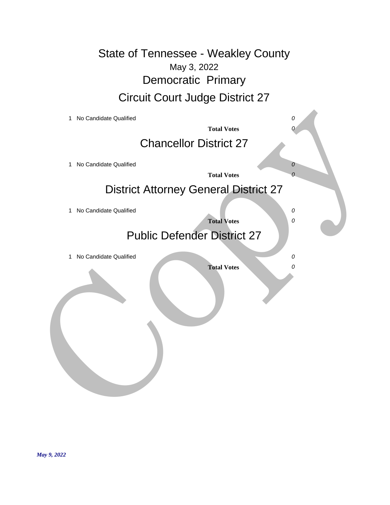May 3, 2022 State of Tennessee - Weakley County Democratic Primary Circuit Court Judge District 27

| 1 No Candidate Qualified                     |                    | 0          |
|----------------------------------------------|--------------------|------------|
|                                              | <b>Total Votes</b> |            |
| <b>Chancellor District 27</b>                |                    |            |
| 1 No Candidate Qualified                     |                    | 0          |
|                                              | <b>Total Votes</b> | $\theta$   |
| <b>District Attorney General District 27</b> |                    |            |
| 1 No Candidate Qualified                     |                    | 0          |
|                                              | <b>Total Votes</b> | ${\cal O}$ |
| <b>Public Defender District 27</b>           |                    |            |
| 1 No Candidate Qualified                     |                    | 0          |
|                                              | <b>Total Votes</b> | 0          |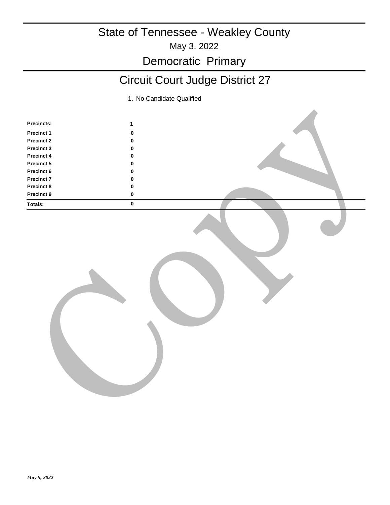# May 3, 2022 State of Tennessee - Weakley County

#### Democratic Primary

## Circuit Court Judge District 27

| Precincts:        | $\mathbf{1}$ |  |
|-------------------|--------------|--|
| Precinct 1        | $\pmb{0}$    |  |
| <b>Precinct 2</b> | $\pmb{0}$    |  |
| Precinct 3        | $\pmb{0}$    |  |
| Precinct 4        | $\mathbf 0$  |  |
| Precinct 5        | $\pmb{0}$    |  |
| Precinct 6        | $\pmb{0}$    |  |
| <b>Precinct 7</b> | $\pmb{0}$    |  |
| <b>Precinct 8</b> | $\pmb{0}$    |  |
| Precinct 9        | $\pmb{0}$    |  |
| Totals:           | $\pmb{0}$    |  |
|                   |              |  |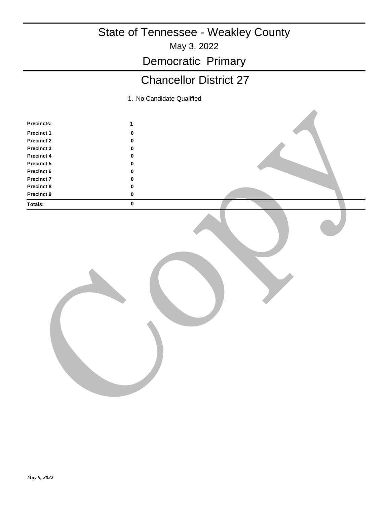May 3, 2022

Democratic Primary

## Chancellor District 27

| Precincts:        | $\mathbf{1}$ |  |
|-------------------|--------------|--|
| Precinct 1        | $\pmb{0}$    |  |
| <b>Precinct 2</b> | $\pmb{0}$    |  |
| Precinct 3        | $\pmb{0}$    |  |
| Precinct 4        | $\mathbf 0$  |  |
| Precinct 5        | $\pmb{0}$    |  |
| Precinct 6        | $\pmb{0}$    |  |
| <b>Precinct 7</b> | $\pmb{0}$    |  |
| <b>Precinct 8</b> | $\pmb{0}$    |  |
| Precinct 9        | $\pmb{0}$    |  |
| Totals:           | $\pmb{0}$    |  |
|                   |              |  |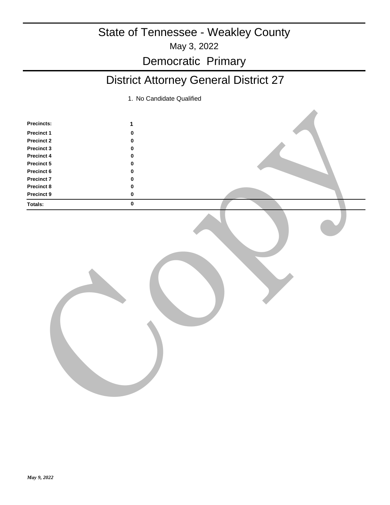#### May 3, 2022 State of Tennessee - Weakley County Democratic Primary

## District Attorney General District 27

| Precincts:        | $\mathbf{1}$ |  |
|-------------------|--------------|--|
| <b>Precinct 1</b> | $\pmb{0}$    |  |
| <b>Precinct 2</b> | $\pmb{0}$    |  |
| Precinct 3        | $\pmb{0}$    |  |
| Precinct 4        | $\pmb{0}$    |  |
| Precinct 5        | $\pmb{0}$    |  |
| Precinct 6        | $\pmb{0}$    |  |
| <b>Precinct 7</b> | $\pmb{0}$    |  |
| Precinct 8        | $\pmb{0}$    |  |
| Precinct 9        | $\pmb{0}$    |  |
| Totals:           | $\pmb{0}$    |  |
|                   |              |  |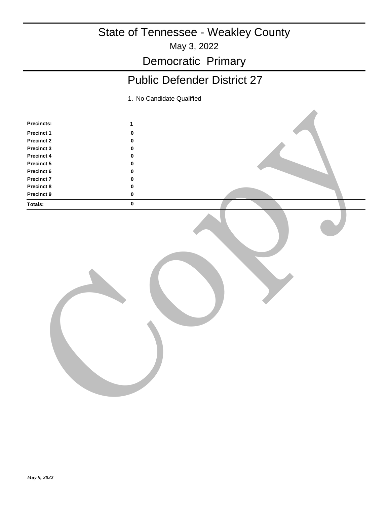May 3, 2022

Democratic Primary

## Public Defender District 27

| Precincts:        | $\mathbf{1}$ |  |
|-------------------|--------------|--|
| <b>Precinct 1</b> | $\pmb{0}$    |  |
| Precinct 2        | $\pmb{0}$    |  |
| Precinct 3        | $\pmb{0}$    |  |
| Precinct 4        | $\pmb{0}$    |  |
| Precinct 5        | $\pmb{0}$    |  |
| Precinct 6        | $\pmb{0}$    |  |
| <b>Precinct 7</b> | $\pmb{0}$    |  |
| Precinct 8        | $\pmb{0}$    |  |
| Precinct 9        | $\pmb{0}$    |  |
| Totals:           | $\pmb{0}$    |  |
|                   |              |  |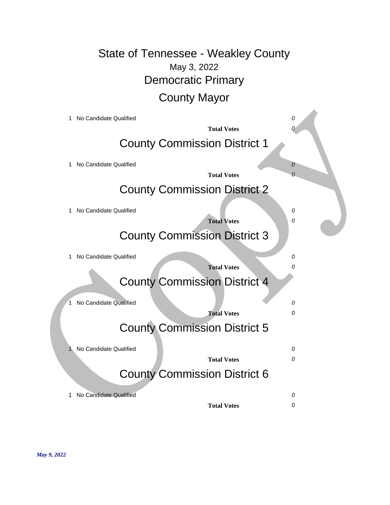#### May 3, 2022 State of Tennessee - Weakley County Democratic Primary County Mayor

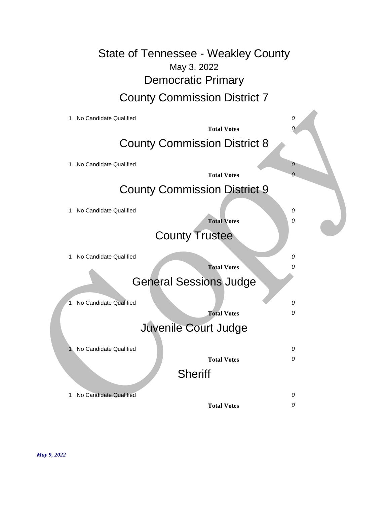May 3, 2022 State of Tennessee - Weakley County Democratic Primary County Commission District 7

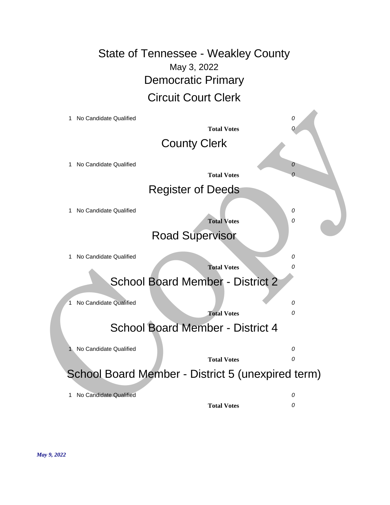May 3, 2022 State of Tennessee - Weakley County Democratic Primary Circuit Court Clerk

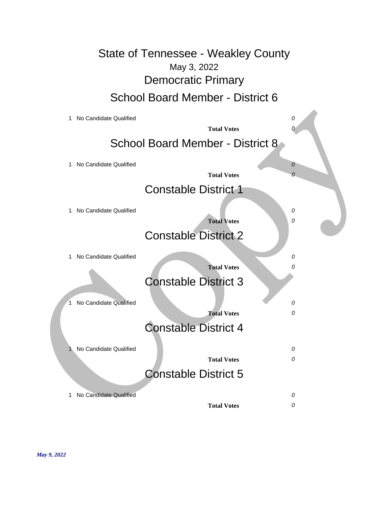May 3, 2022 State of Tennessee - Weakley County Democratic Primary School Board Member - District 6

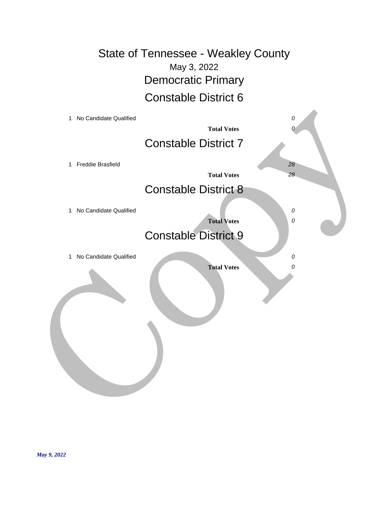May 3, 2022 State of Tennessee - Weakley County Democratic Primary Constable District 6

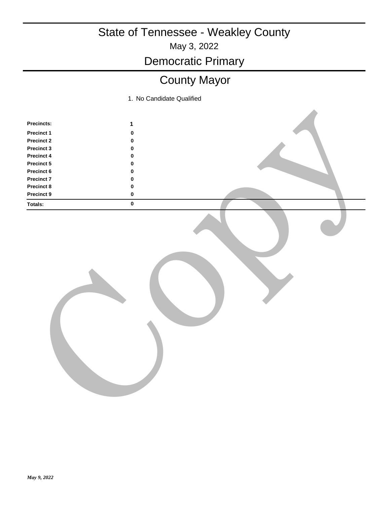May 3, 2022

Democratic Primary

## County Mayor

| Precincts:        | $\mathbf{1}$ |  |
|-------------------|--------------|--|
| Precinct 1        | $\pmb{0}$    |  |
| <b>Precinct 2</b> | $\pmb{0}$    |  |
| Precinct 3        | $\pmb{0}$    |  |
| Precinct 4        | $\mathbf 0$  |  |
| Precinct 5        | $\pmb{0}$    |  |
| Precinct 6        | $\pmb{0}$    |  |
| <b>Precinct 7</b> | $\pmb{0}$    |  |
| Precinct 8        | $\pmb{0}$    |  |
| Precinct 9        | $\pmb{0}$    |  |
| Totals:           | $\pmb{0}$    |  |
|                   |              |  |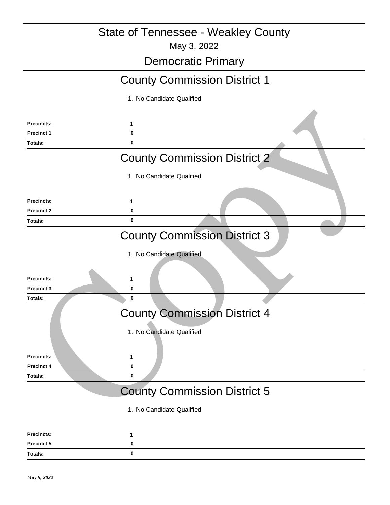May 3, 2022

#### Democratic Primary **1** County Commission District 1 1. No Candidate Qualified **Precincts: Precinct 1 0 Totals: 0 1** County Commission District 2 1. No Candidate Qualified **Precincts: Precinct 2 0 Totals: 0 1** County Commission District 3 1. No Candidate Qualified **Precincts: Precinct 3 0 Totals: 0 1** County Commission District 4 1. No Candidate Qualified **Precincts: Precinct 4 0 Totals: 0** Procince:<br>
Procince:<br>
COUNTY Commission District 2<br>
1. No Candidate Qualified<br>
Procince:<br>
Procince:<br>
Procince:<br>
Procince:<br>
Procince:<br>
Procince:<br>
Procince:<br>
Procince:<br>
Procince:<br>
Procince:<br>
Procince:<br>
Procince:<br>
Procince:<br>

#### County Commission District 5

| Precincts:        |   |
|-------------------|---|
| <b>Precinct 5</b> |   |
| Totals:           | 0 |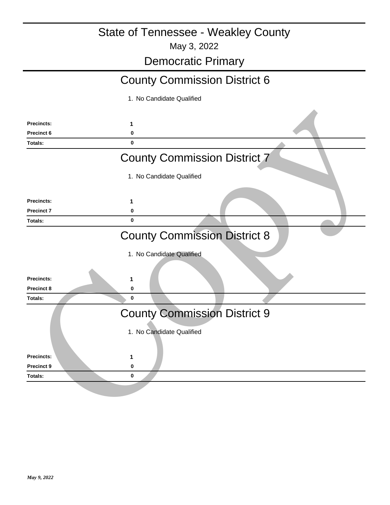May 3, 2022

#### Democratic Primary

## County Commission District 6

| <b>Precincts:</b> | 1                                   |  |
|-------------------|-------------------------------------|--|
| Precinct 6        | 0                                   |  |
| Totals:           | $\bf{0}$                            |  |
|                   | <b>County Commission District 7</b> |  |
|                   | 1. No Candidate Qualified           |  |
| <b>Precincts:</b> | 1                                   |  |
| <b>Precinct 7</b> | 0                                   |  |
| Totals:           | $\bf{0}$                            |  |
|                   | <b>County Commission District 8</b> |  |
|                   | 1. No Candidate Qualified           |  |
| <b>Precincts:</b> | 1                                   |  |
| <b>Precinct 8</b> | $\pmb{0}$                           |  |
| <b>Totals:</b>    | $\mathbf 0$                         |  |
|                   | <b>County Commission District 9</b> |  |
|                   | 1. No Candidate Qualified           |  |
| <b>Precincts:</b> | 1                                   |  |
| <b>Precinct 9</b> | $\pmb{0}$                           |  |
|                   | $\bf{0}$                            |  |
| Totals:           |                                     |  |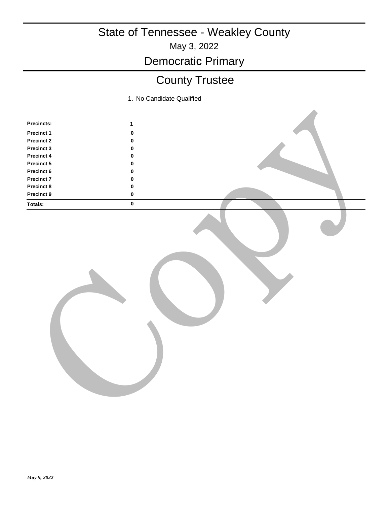May 3, 2022

# Democratic Primary

## County Trustee

| Precincts:        | $\mathbf{1}$ |  |
|-------------------|--------------|--|
| Precinct 1        | $\pmb{0}$    |  |
| <b>Precinct 2</b> | $\pmb{0}$    |  |
| Precinct 3        | $\pmb{0}$    |  |
| Precinct 4        | $\mathbf 0$  |  |
| Precinct 5        | $\pmb{0}$    |  |
| Precinct 6        | $\pmb{0}$    |  |
| <b>Precinct 7</b> | $\pmb{0}$    |  |
| Precinct 8        | $\pmb{0}$    |  |
| Precinct 9        | $\pmb{0}$    |  |
| Totals:           | $\pmb{0}$    |  |
|                   |              |  |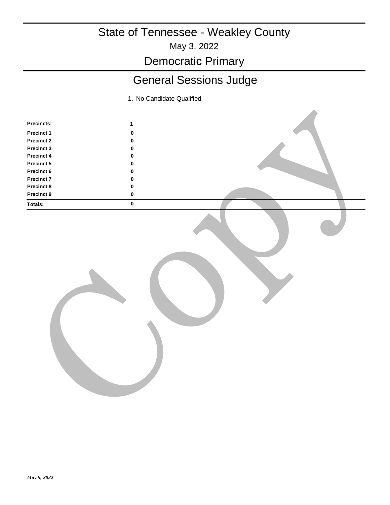May 3, 2022

Democratic Primary

## General Sessions Judge

| Precincts: | $\mathbf{1}$ |  |
|------------|--------------|--|
| Precinct 1 | $\pmb{0}$    |  |
| Precinct 2 | $\pmb{0}$    |  |
| Precinct 3 | $\pmb{0}$    |  |
| Precinct 4 | $\pmb{0}$    |  |
| Precinct 5 | $\pmb{0}$    |  |
| Precinct 6 | $\pmb{0}$    |  |
| Precinct 7 | $\pmb{0}$    |  |
| Precinct 8 | $\pmb{0}$    |  |
| Precinct 9 | $\pmb{0}$    |  |
| Totals:    | $\pmb{0}$    |  |
|            |              |  |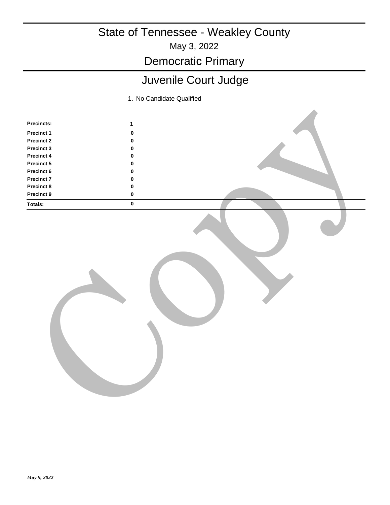May 3, 2022

Democratic Primary

## Juvenile Court Judge

| Precincts:        | $\mathbf{1}$ |  |
|-------------------|--------------|--|
| Precinct 1        | $\pmb{0}$    |  |
| <b>Precinct 2</b> | $\pmb{0}$    |  |
| Precinct 3        | $\pmb{0}$    |  |
| Precinct 4        | $\mathbf 0$  |  |
| Precinct 5        | $\pmb{0}$    |  |
| Precinct 6        | $\pmb{0}$    |  |
| <b>Precinct 7</b> | $\pmb{0}$    |  |
| Precinct 8        | $\pmb{0}$    |  |
| Precinct 9        | $\pmb{0}$    |  |
| Totals:           | $\pmb{0}$    |  |
|                   |              |  |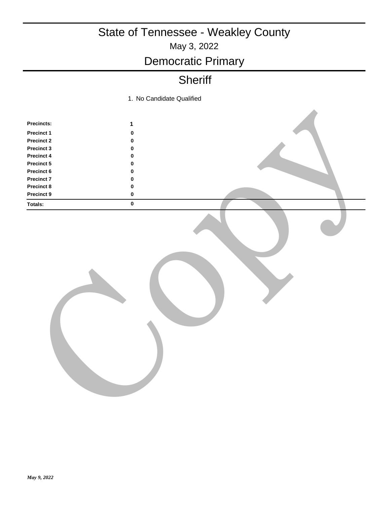## May 3, 2022 State of Tennessee - Weakley County Democratic Primary

#### **Sheriff**

1. No Candidate Qualified

| Precincts:        | $\mathbf{1}$ |  |
|-------------------|--------------|--|
| <b>Precinct 1</b> | $\pmb{0}$    |  |
| Precinct 2        | $\pmb{0}$    |  |
| Precinct 3        | $\pmb{0}$    |  |
| Precinct 4        | $\pmb{0}$    |  |
| Precinct 5        | $\pmb{0}$    |  |
| Precinct 6        | $\pmb{0}$    |  |
| Precinct 7        | $\pmb{0}$    |  |
| Precinct 8        | $\pmb{0}$    |  |
| Precinct 9        | $\pmb{0}$    |  |
| Totals:           | $\pmb{0}$    |  |
|                   |              |  |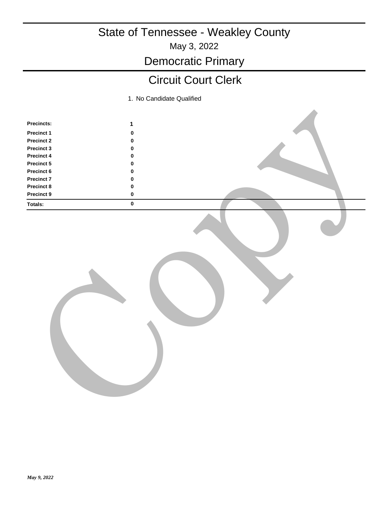May 3, 2022

Democratic Primary

#### Circuit Court Clerk

| Precincts:        | $\mathbf{1}$ |  |
|-------------------|--------------|--|
| Precinct 1        | $\pmb{0}$    |  |
| <b>Precinct 2</b> | $\pmb{0}$    |  |
| Precinct 3        | $\pmb{0}$    |  |
| Precinct 4        | $\mathbf 0$  |  |
| <b>Precinct 5</b> | $\pmb{0}$    |  |
| Precinct 6        | $\pmb{0}$    |  |
| Precinct 7        | $\pmb{0}$    |  |
| Precinct 8        | $\pmb{0}$    |  |
| Precinct 9        | $\pmb{0}$    |  |
| Totals:           | $\pmb{0}$    |  |
|                   |              |  |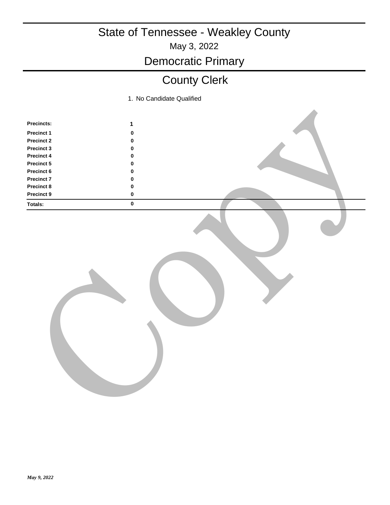May 3, 2022

Democratic Primary

## County Clerk

| Precincts:        | $\mathbf{1}$ |  |
|-------------------|--------------|--|
| <b>Precinct 1</b> | $\pmb{0}$    |  |
| Precinct 2        | $\pmb{0}$    |  |
| Precinct 3        | $\pmb{0}$    |  |
| Precinct 4        | $\pmb{0}$    |  |
| Precinct 5        | $\pmb{0}$    |  |
| Precinct 6        | $\pmb{0}$    |  |
| <b>Precinct 7</b> | $\pmb{0}$    |  |
| Precinct 8        | $\pmb{0}$    |  |
| Precinct 9        | $\pmb{0}$    |  |
| Totals:           | $\pmb{0}$    |  |
|                   |              |  |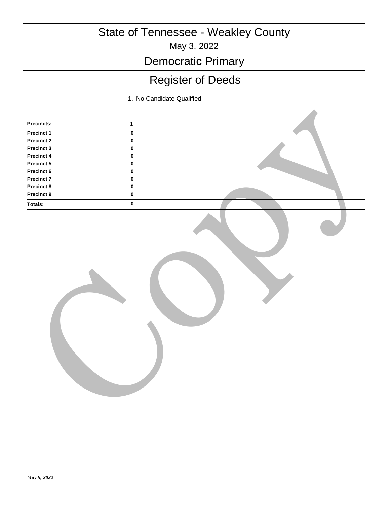May 3, 2022

Democratic Primary

## Register of Deeds

| Precincts:        | $\mathbf{1}$ |  |
|-------------------|--------------|--|
| Precinct 1        | $\pmb{0}$    |  |
| <b>Precinct 2</b> | $\pmb{0}$    |  |
| Precinct 3        | $\pmb{0}$    |  |
| Precinct 4        | $\mathbf 0$  |  |
| <b>Precinct 5</b> | $\pmb{0}$    |  |
| Precinct 6        | $\pmb{0}$    |  |
| Precinct 7        | $\pmb{0}$    |  |
| Precinct 8        | $\pmb{0}$    |  |
| <b>Precinct 9</b> | $\pmb{0}$    |  |
| Totals:           | $\pmb{0}$    |  |
|                   |              |  |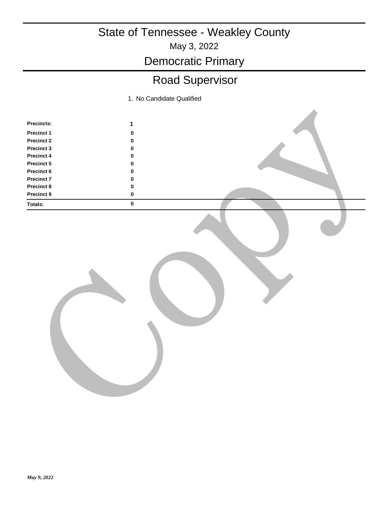#### May 3, 2022 State of Tennessee - Weakley County

Democratic Primary

# Road Supervisor

| Precincts:        | $\mathbf{1}$ |  |
|-------------------|--------------|--|
| Precinct 1        | $\pmb{0}$    |  |
| <b>Precinct 2</b> | $\pmb{0}$    |  |
| Precinct 3        | $\pmb{0}$    |  |
| Precinct 4        | $\mathbf 0$  |  |
| Precinct 5        | $\pmb{0}$    |  |
| Precinct 6        | $\pmb{0}$    |  |
| Precinct 7        | $\pmb{0}$    |  |
| Precinct 8        | $\pmb{0}$    |  |
| <b>Precinct 9</b> | $\pmb{0}$    |  |
| Totals:           | $\pmb{0}$    |  |
|                   |              |  |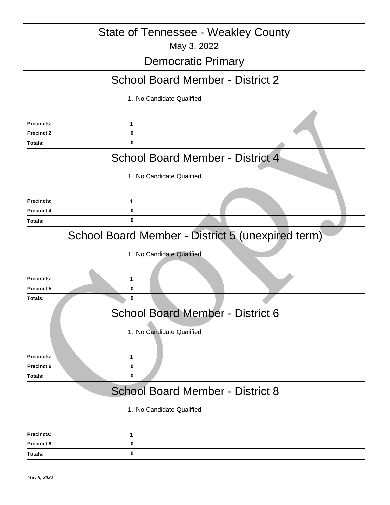#### May 3, 2022 State of Tennessee - Weakley County

## Democratic Primary

#### School Board Member - District 2

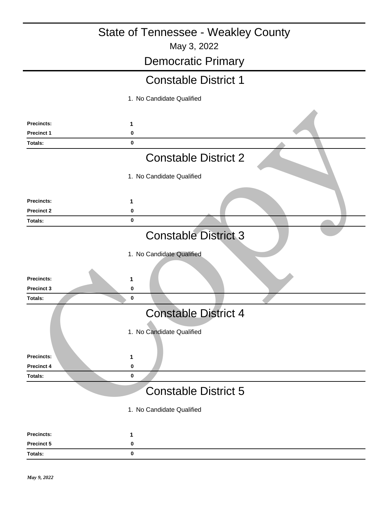